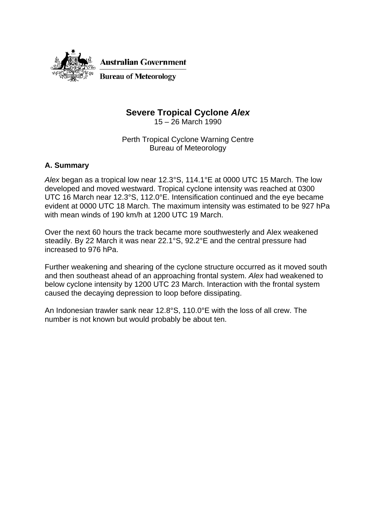

## **Severe Tropical Cyclone** *Alex*

15 – 26 March 1990

Perth Tropical Cyclone Warning Centre Bureau of Meteorology

## **A. Summary**

*Alex* began as a tropical low near 12.3°S, 114.1°E at 0000 UTC 15 March. The low developed and moved westward. Tropical cyclone intensity was reached at 0300 UTC 16 March near 12.3°S, 112.0°E. Intensification continued and the eye became evident at 0000 UTC 18 March. The maximum intensity was estimated to be 927 hPa with mean winds of 190 km/h at 1200 UTC 19 March.

Over the next 60 hours the track became more southwesterly and Alex weakened steadily. By 22 March it was near 22.1°S, 92.2°E and the central pressure had increased to 976 hPa.

Further weakening and shearing of the cyclone structure occurred as it moved south and then southeast ahead of an approaching frontal system. *Alex* had weakened to below cyclone intensity by 1200 UTC 23 March. Interaction with the frontal system caused the decaying depression to loop before dissipating.

An Indonesian trawler sank near 12.8°S, 110.0°E with the loss of all crew. The number is not known but would probably be about ten.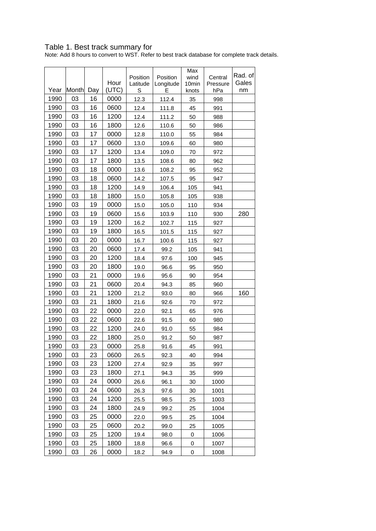## Table 1. Best track summary for

Note: Add 8 hours to convert to WST. Refer to best track database for complete track details.

|      |       |     | Hour  | Position<br>Latitude | Position<br>Longitude | Max<br>wind<br>10min | Central<br>Pressure | Rad. of<br>Gales |
|------|-------|-----|-------|----------------------|-----------------------|----------------------|---------------------|------------------|
| Year | Month | Day | (UTC) | $\mathbb S$          | E                     | knots                | hPa                 | nm               |
| 1990 | 03    | 16  | 0000  | 12.3                 | 112.4                 | 35                   | 998                 |                  |
| 1990 | 03    | 16  | 0600  | 12.4                 | 111.8                 | 45                   | 991                 |                  |
| 1990 | 03    | 16  | 1200  | 12.4                 | 111.2                 | 50                   | 988                 |                  |
| 1990 | 03    | 16  | 1800  | 12.6                 | 110.6                 | 50                   | 986                 |                  |
| 1990 | 03    | 17  | 0000  | 12.8                 | 110.0                 | 55                   | 984                 |                  |
| 1990 | 03    | 17  | 0600  | 13.0                 | 109.6                 | 60                   | 980                 |                  |
| 1990 | 03    | 17  | 1200  | 13.4                 | 109.0                 | 70                   | 972                 |                  |
| 1990 | 03    | 17  | 1800  | 13.5                 | 108.6                 | 80                   | 962                 |                  |
| 1990 | 03    | 18  | 0000  | 13.6                 | 108.2                 | 95                   | 952                 |                  |
| 1990 | 03    | 18  | 0600  | 14.2                 | 107.5                 | 95                   | 947                 |                  |
| 1990 | 03    | 18  | 1200  | 14.9                 | 106.4                 | 105                  | 941                 |                  |
| 1990 | 03    | 18  | 1800  | 15.0                 | 105.8                 | 105                  | 938                 |                  |
| 1990 | 03    | 19  | 0000  | 15.0                 | 105.0                 | 110                  | 934                 |                  |
| 1990 | 03    | 19  | 0600  | 15.6                 | 103.9                 | 110                  | 930                 | 280              |
| 1990 | 03    | 19  | 1200  | 16.2                 | 102.7                 | 115                  | 927                 |                  |
| 1990 | 03    | 19  | 1800  | 16.5                 | 101.5                 | 115                  | 927                 |                  |
| 1990 | 03    | 20  | 0000  | 16.7                 | 100.6                 | 115                  | 927                 |                  |
| 1990 | 03    | 20  | 0600  | 17.4                 | 99.2                  | 105                  | 941                 |                  |
| 1990 | 03    | 20  | 1200  | 18.4                 | 97.6                  | 100                  | 945                 |                  |
| 1990 | 03    | 20  | 1800  | 19.0                 | 96.6                  | 95                   | 950                 |                  |
| 1990 | 03    | 21  | 0000  | 19.6                 | 95.6                  | 90                   | 954                 |                  |
| 1990 | 03    | 21  | 0600  | 20.4                 | 94.3                  | 85                   | 960                 |                  |
| 1990 | 03    | 21  | 1200  | 21.2                 | 93.0                  | 80                   | 966                 | 160              |
| 1990 | 03    | 21  | 1800  | 21.6                 | 92.6                  | 70                   | 972                 |                  |
| 1990 | 03    | 22  | 0000  | 22.0                 | 92.1                  | 65                   | 976                 |                  |
| 1990 | 03    | 22  | 0600  | 22.6                 | 91.5                  | 60                   | 980                 |                  |
| 1990 | 03    | 22  | 1200  | 24.0                 | 91.0                  | 55                   | 984                 |                  |
| 1990 | 03    | 22  | 1800  | 25.0                 | 91.2                  | 50                   | 987                 |                  |
| 1990 | 03    | 23  | 0000  | 25.8                 | 91.6                  | 45                   | 991                 |                  |
| 1990 | 03    | 23  | 0600  | 26.5                 | 92.3                  | 40                   | 994                 |                  |
| 1990 | 03    | 23  | 1200  | 27.4                 | 92.9                  | 35                   | 997                 |                  |
| 1990 | 03    | 23  | 1800  | 27.1                 | 94.3                  | 35                   | 999                 |                  |
| 1990 | 03    | 24  | 0000  | 26.6                 | 96.1                  | 30                   | 1000                |                  |
| 1990 | 03    | 24  | 0600  | 26.3                 | 97.6                  | 30                   | 1001                |                  |
| 1990 | 03    | 24  | 1200  | 25.5                 | 98.5                  | 25                   | 1003                |                  |
| 1990 | 03    | 24  | 1800  | 24.9                 | 99.2                  | 25                   | 1004                |                  |
| 1990 | 03    | 25  | 0000  | 22.0                 | 99.5                  | 25                   | 1004                |                  |
| 1990 | 03    | 25  | 0600  | 20.2                 | 99.0                  | 25                   | 1005                |                  |
| 1990 | 03    | 25  | 1200  | 19.4                 | 98.0                  | 0                    | 1006                |                  |
| 1990 | 03    | 25  | 1800  | 18.8                 | 96.6                  | 0                    | 1007                |                  |
| 1990 | 03    | 26  | 0000  | 18.2                 | 94.9                  | 0                    | 1008                |                  |